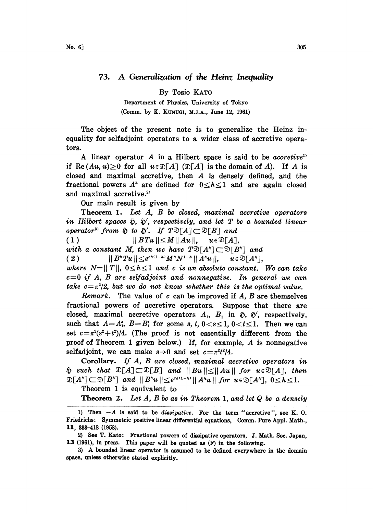## 73. A Generalization of the Heinz Inequality

By Tosio KATO

Department of Physics, University of Tokyo (Comm. by K. KUNUG1, M.J.A., June 12, 1961)

The object of the present note is to generalize the Heinz inequality for selfadjoint operators to a wider class of accretive operators.

A linear operator A in a Hilbert space is said to be *accretive*<sup>13</sup> if Re  $(Au, u) \ge 0$  for all  $u \in \mathcal{D}[A]$  ( $\mathcal{D}[A]$  is the domain of A). If A is closed and maximal accretive, then A is densely defined, and the fractional powers  $A^h$  are defined for  $0 \le h \le 1$  and are again closed and maximal accretive.<sup>2)</sup>

Our main result is given by

Theorem 1. Let A, B be closed, maximal accretive operators in Hilbert spaces  $\tilde{p}$ ,  $\tilde{p}'$ , respectively, and let T be a bounded linear operator<sup>3)</sup> from  $\tilde{p}$  to  $\tilde{p}'$ . If  $T \mathbb{D}[A] \subset \mathbb{D}[B]$  and

( <sup>1</sup> ) II BTu II<MII Au II, (1)  $\|BTu\|\leq M\|Au\|, \quad u\in \mathfrak{D}[A],$ <br>with a constant M, then we have  $T\mathfrak{D}[A^{\kappa}]\subset \mathfrak{D}[B^{\kappa}]$  and<br>(2)  $\|B^{\kappa}Tu\|\leq e^{\epsilon\kappa(1-\kappa)}M^{\kappa}N^{1-\kappa}\|A^{\kappa}u\|, \quad u\in \mathfrak{D}[A^{\kappa}],$  $u \in \mathfrak{D}[A^n]$ . where  $N=||T||$ ,  $0 \leq h \leq 1$  and c is an absolute constant. We can take

 $c=0$  if A, B are selfadjoint and nonnegative. In general we can take  $c=\pi^2/2$ , but we do not know whether this is the optimal value.

*Remark.* The value of c can be improved if  $A$ ,  $B$  are themselves fractional powers of accretive operators. Suppose that there are closed, maximal accretive operators  $A_1$ ,  $B_1$  in  $\tilde{p}$ ,  $\tilde{p}'$ , respectively, such that  $A=A_1^s$ ,  $B=B_1^s$  for some s, t,  $0 < s \leq 1$ ,  $0 < t \leq 1$ . Then we can set  $c=\pi^2(s^2+t^2)/4$ . (The proof is not essentially different from the proof of Theorem <sup>1</sup> given below.) If, for example, A is nonnegative selfadjoint, we can make  $s\rightarrow 0$  and set  $c=\pi^2t^2/4$ .

Corollary. If A, B are closed, maximal accretive operators in  $\tilde{\mathfrak{v}}$  such that  $\mathfrak{D}[A] \subset \mathfrak{D}[B]$  and  $||Bu|| \leq ||Au||$  for  $u \in \mathfrak{D}[A]$ , then  $\mathfrak{D}[A^n] \subset \mathfrak{D}[B^n]$  and  $||B^n u|| \leq e^{c h(1-h)} ||A^n u||$  for  $u \in \mathfrak{D}[A^n]$ ,  $0 \leq h \leq 1$ .

Theorem 1 is equivalent to

**Theorem 2.** Let  $A$ ,  $B$  be as in Theorem 1, and let  $Q$  be a densely

<sup>1)</sup> Then  $-A$  is said to be *dissipative*. For the term "accretive", see K. O. Friedrichs: Symmetric positive linear differential equations, Comm. Pure Appl. Math., 11, 333-418 (1958).

<sup>2)</sup> See T. Kato: Fractional powers of dissipative operators, J. Math. Soc. Japan, 13 (1961), in press. This paper will be quoted as (F) in the following.

<sup>3)</sup> A bounded linear operator is assumed to be defined everywhere in the domain space, unless otherwise stated explicitly.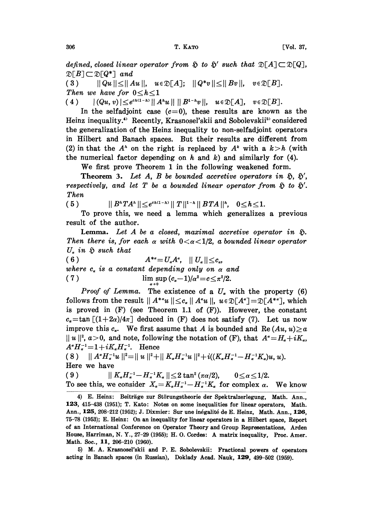defined, closed linear operator from  $\mathfrak{H}$  to  $\mathfrak{H}'$  such that  $\mathfrak{D}[B] \!\subset\! \mathfrak{D}[Q^*]$  and  $\mathfrak{D}[B] \subset \mathfrak{D}[Q^*]$  and<br>(3)  $||Qu|| \le ||Au||$ ,  $u \in \mathfrak{D}[A]$ ;  $||Q^*v|| \le ||Bv||$ ,  $v \in \mathfrak{D}[B]$ .

Then we have for  $0 \le h \le 1$ 

( 4 )  $|(Qu, v)| \leq e^{c\hbar(1-h)} || A^{\hbar}u || || B^{1-\hbar}v ||, \quad u \in \mathfrak{D}[A], \quad v \in \mathfrak{D}[B].$ 

In the selfadjoint case  $(c=0)$ , these results are known as the Heinz inequality.<sup>4)</sup> Recently, Krasnosel'skii and Sobolevskii<sup>5)</sup> considered the generalization of the Heinz inequality to non-selfadjoint operators in Hilbert and Banach spaces. But their results are different from (2) in that the  $A^h$  on the right is replaced by  $A^k$  with a  $k > h$  (with the numerical factor depending on  $h$  and  $k$ ) and similarly for (4).

We first prove Theorem <sup>1</sup> in the following weakened form.

**Theorem 3.** Let A, B be bounded accretive operators in  $\tilde{\mathfrak{h}}$ ,  $\tilde{\mathfrak{h}}'$ , respectively, and let T be a bounded linear operator from  $\tilde{p}$  to  $\tilde{p}'$ . Then

(5)  $\|B^nTA^n\| \leq e^{c\hbar(1-h)} \|T\|^{1-h} \|BTA\|^{h}, \quad 0 \leq h \leq 1.$ <br>To prove this, we need a lemma which generalizes To prove this, we need a lemma which generalizes a previous result of the author.

Lemma. Let  $A$  be a closed, maximal accretive operator in  $\tilde{y}$ . Then there is, for each a with  $0 < \alpha < 1/2$ , a bounded linear operator  $U_n$  in  $\tilde{v}$  such that

( 6 )  $A^{*a} = U_a A^a, \quad || U_a || \leq c_a,$ where  $c_a$  is a constant depending only on  $\alpha$  and (7)  $\lim_{\alpha \to 0} \frac{\sin (c_{\alpha}-1)}{a^2=c \leq \pi^2/2.}$ 

*Proof of Lemma*. The existence of a  $U_a$  with the property (6) follows from the result  $|| A^{*a}u || \leq c_{\alpha} || A^{a}u ||$ ,  $u \in \mathfrak{D}[A^{*}] = \mathfrak{D}[A^{*a}]$ , which is proved in (F) (see Theorem 1.1 of (F)). However, the constant  $c_{\alpha} = \tan \left[ (1+2\alpha)/4\pi \right]$  deduced in (F) does not satisfy (7). Let us now improve this  $c_a$ . We first assume that A is bounded and Re  $(Au, u) \ge a$  $||u||^2$ ,  $a>0$ , and note, following the notation of (F), that  $A^{\alpha} = H_{\alpha} + iK_{\alpha}$ ,  $A^{\alpha}H_{\alpha}^{-1}$  =  $1+iK_{\alpha}H_{\alpha}^{-1}$ . Hence (8)  $||A^{\alpha}H_{\alpha}^{-1}u||^{2} = ||u||^{2} + ||K_{\alpha}H_{\alpha}^{-1}u||^{2} + i((K_{\alpha}H_{\alpha}^{-1} - H_{\alpha}^{-1}K_{\alpha})u, u).$ 

Here we have

( 9 )  $|| K_{\alpha} H_{\alpha}^{-1} - H_{\alpha}^{-1} K_{\alpha} || \leq 2 \tan^2 (\pi \alpha/2), \qquad 0 \leq \alpha \leq 1/2.$ To see this, we consider  $X_a = K_a H_a^{-1} - H_a^{-1}K_a$  for complex  $\alpha$ . We know

5) M. A. Krasnosel'skii and P. E. Sobolevskii: Fractional powers of operators acting in Banach spaces (in Russian), Doklady Acad. Nauk, 129, 499-502 (1959).

<sup>4)</sup> E. Heinz: Beiträge zur Störungstheorie der Spektralzerlegung, Math. Ann., 123, 415-438 (1951); T. Kato: Notes on some inequalities for linear operators, Math. Ann., 125, 208-212 (1952); J. Dixmier: Sur une inégalité de E. Heinz, Math. Ann., 126, 75-78 (1953); E. Heinz: On an inequality for linear operators in a Hilbert space, Report of an International Conference on Operator Theory and Group Representations, Arden House, Harriman, N. Y., 27-29 (1955); H. O. Cordes: A matrix inequality, Proc. Amer. Math. Soc., 11, 206-210 (1960).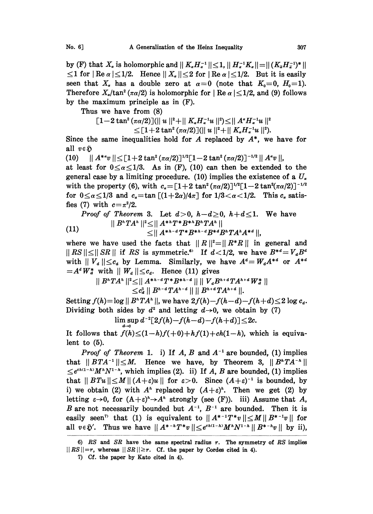by (F) that  $X_{\alpha}$  is holomorphic and  $||K_{\alpha}H_{\alpha}^{-1}|| \leq 1$ ,  $||H_{\alpha}^{-1}K_{\alpha}|| = ||(K_{\overline{\alpha}}H_{\overline{\alpha}}^{-1})^{*}||$  $\leq$  1 for | Re  $\alpha$  |  $\leq$  1/2. Hence ||  $X_{\alpha}$  ||  $\leq$  2 for | Re  $\alpha$  |  $\leq$  1/2. But it is easily seen that  $X_a$  has a double zero at  $\alpha=0$  (note that  $K_0=0$ ,  $H_0=1$ ). Therefore  $X_{\alpha}/\tan^2(\pi \alpha/2)$  is holomorphic for  $|\text{Re }\alpha| \leq 1/2$ , and (9) follows by the maximum principle as in (F).

Thus we have from (8)

$$
\begin{array}{l} \left[1-2 \tan ^2\left(\pi \alpha /2\right)\right] (\parallel u \parallel ^2+\parallel K_a H_a^{-1} u \parallel ^2)\leq \parallel A^a H_a^{-1} u \parallel ^2\\ \hskip 1cm \leq \left[1+2 \tan ^2\left(\pi \alpha /2\right)\right] (\parallel u \parallel ^2+\parallel K_a H_a^{-1} u \parallel ^2).\end{array}
$$

Since the same inequalities hold for  $A$  replaced by  $A^*$ , we have for all  $v \in \mathfrak{H}$ 

(10)  $|| A^{*a}v || \leq [1 + 2 \tan^2(\pi a/2)]^{1/2}[1-2 \tan^2(\pi a/2)]^{-1/2} || A^a v ||,$ 

at least for  $0 \le \alpha \le 1/3$ . As in (F), (10) can then be extended to the general case by a limiting procedure. (10) implies the existence of a  $U_a$ with the property (6), with  $c_{\alpha}=[1+2 \tan^2(\pi \alpha/2)]^{1/2}[1-2 \tan^2(\pi \alpha/2)]^{-1/2}$ for  $0 \le \alpha \le 1/3$  and  $c_{\alpha} = \tan [(1+2\alpha)/4\pi]$  for  $1/3 < \alpha < 1/2$ . This  $c_{\alpha}$  satisfies (7) with  $c = \pi^2/2$ .

*Proof of Theorem 3.* Let  $d > 0$ ,  $h-d \geq 0$ ,  $h+d \leq 1$ . We have  $||B^nTA^n||^2 \leq ||A^{*h}T^*B^{*h}B^nTA^n||$ (11)  $\leq ||A^{*h-d}T^*B^{*h-d}B^{*d}B^hTA^hA^{*d}||.$ 

where we have used the facts that  $||R||^2 = ||R^*R||$  in general and  $||RS|| \leq ||SR||$  if RS is symmetric.<sup>6</sup> If  $d < 1/2$ , we have  $B^{*d} = V_d B^d$ with  $||V_d|| \leq c_a$  by Lemma. Similarly, we have  $A^d = W_d A^{*d}$  or  $A^{*d} = A^d W_d^*$  with  $||W_d|| \leq c_d$ . Hence (11) gives  $=A^d W_d^*$  with  $||W_d|| \leq c_d$ . Hence (11) gives

$$
|| B^{h}TA^{h}||^{2} \leq || A^{*h-d}T^{*}B^{*h-d} || || V_{d}B^{h+d}TA^{h+d}W_{d}^{*} ||
$$
  

$$
\leq c_{d}^{2} || B^{h-d}TA^{h-d} || || B^{h+d}TA^{h+d} ||.
$$

Setting  $f(h)=\log ||B^hTA^h||$ , we have  $2f(h)-f(h-d)-f(h+d)\leq 2 \log c_d$ . Dividing both sides by  $d^2$  and letting  $d\rightarrow 0$ , we obtain by (7)  $\limsup d^{-2}[2f(h)-f(h-d)-f(h+d)] \leq 2c.$ 

 $d\rightarrow 0$ It follows that  $f(h) \leq (1-h)f(+0)+hf(1)+ch(1-h)$ , which is equivalent to (5).

*Proof of Theorem* 1. i) If A, B and  $A^{-1}$  are bounded, (1) implies *Proof of Theorem* 1. i) If A, B and  $A^{-1}$  are bounded, (1) implies that  $||BTA^{-1}|| \leq M$ . Hence we have, by Theorem 3,  $||B^{n}TA^{-n}||$  $\leq e^{ch(1-h)}M^{h}N^{1-h}$ , which implies (2). ii) If A, B are bounded, (1) implies that  $||BTu|| \le M || (A+\varepsilon)u ||$  for  $\varepsilon > 0$ . Since  $(A+\varepsilon)^{-1}$  is bounded, by i) we obtain (2) with  $A^h$  replaced by  $(A+\varepsilon)^h$ . Then we get (2) by i) we obtain (2) with  $A^h$  replaced by  $(A+\varepsilon)^h$ . Then we get (2) by letting  $\varepsilon \to 0$ , for  $(A+\varepsilon)^n \to A^n$  strongly (see (F)). iii) Assume that A, B are not necessarily bounded but  $A^{-1}$ ,  $B^{-1}$  are bounded. Then it is *B* are not necessarily bounded but  $A^{-1}$ ,  $B^{-1}$  are bounded. Then it is easily seen<sup>7</sup> that (1) is equivalent to  $||A^{*-1}T^*v|| \leq M ||B^{*-1}v||$  for all  $v \in \tilde{y}'$ . Thus we have  $|| A^{*-h}T^*v || \leq e^{c h (1-h)} M^h N^{1-h} || B^{*-h}v ||$  by ii),

<sup>6)</sup> RS and SR have the same spectral radius  $r$ . The symmetry of RS implies  $||RS||=r$ , whereas  $||SR||\geq r$ . Cf. the paper by Cordes cited in 4).

<sup>7)</sup> Cf. the paper by Kato cited in 4).